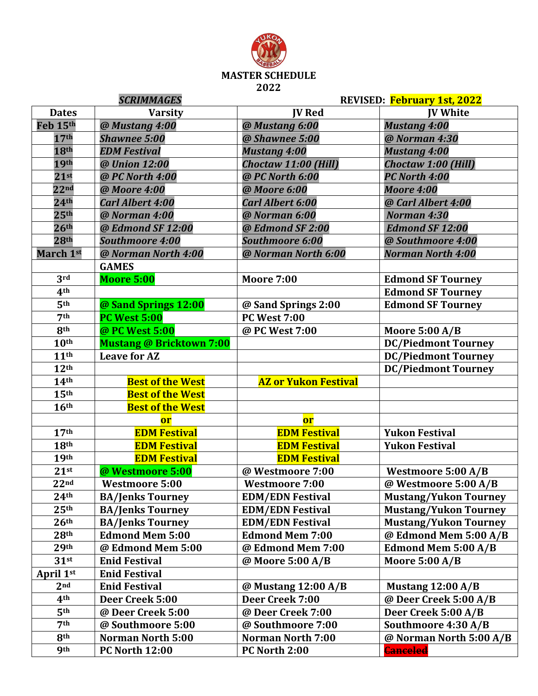

|                  | <b>SCRIMMAGES</b>               |                             | REVISED: February 1st, 2022                           |
|------------------|---------------------------------|-----------------------------|-------------------------------------------------------|
| <b>Dates</b>     | <b>Varsity</b>                  | <b>IV Red</b>               | <b>IV White</b>                                       |
| Feb 15th         | @ Mustang 4:00                  | @ Mustang 6:00              | <b>Mustang 4:00</b>                                   |
| 17 <sup>th</sup> | <b>Shawnee 5:00</b>             | @ Shawnee 5:00              | @ Norman 4:30                                         |
| 18th             | <b>EDM Festival</b>             | <b>Mustang 4:00</b>         | <b>Mustang 4:00</b>                                   |
| 19th             | @ Union 12:00                   | Choctaw 11:00 (Hill)        | Choctaw 1:00 (Hill)                                   |
| 21 <sup>st</sup> | @ PC North 4:00                 | @ PC North 6:00             | PC North 4:00                                         |
| 22 <sub>nd</sub> | @ Moore 4:00                    | @ Moore 6:00                | <b>Moore 4:00</b>                                     |
| 24 <sup>th</sup> | <b>Carl Albert 4:00</b>         | Carl Albert 6:00            | @ Carl Albert 4:00                                    |
| 25 <sup>th</sup> | @ Norman 4:00                   | @ Norman 6:00               | Norman 4:30                                           |
| 26 <sup>th</sup> | @ Edmond SF 12:00               | @ Edmond SF 2:00            | <b>Edmond SF 12:00</b>                                |
| 28 <sup>th</sup> | <b>Southmoore 4:00</b>          | <b>Southmoore 6:00</b>      | @ Southmoore 4:00                                     |
| March 1st        | @ Norman North 4:00             | @ Norman North 6:00         | <b>Norman North 4:00</b>                              |
|                  | <b>GAMES</b>                    |                             |                                                       |
| 3rd              | <b>Moore 5:00</b>               | <b>Moore 7:00</b>           | <b>Edmond SF Tourney</b>                              |
| 4 <sup>th</sup>  |                                 |                             | <b>Edmond SF Tourney</b>                              |
| 5 <sup>th</sup>  | @ Sand Springs 12:00            | @ Sand Springs 2:00         | <b>Edmond SF Tourney</b>                              |
| 7 <sup>th</sup>  | <b>PC West 5:00</b>             | <b>PC West 7:00</b>         |                                                       |
| 8 <sup>th</sup>  | @ PC West 5:00                  | @ PC West 7:00              | <b>Moore 5:00 A/B</b>                                 |
| 10 <sup>th</sup> | <b>Mustang @ Bricktown 7:00</b> |                             | <b>DC/Piedmont Tourney</b>                            |
| 11 <sup>th</sup> | <b>Leave for AZ</b>             |                             | <b>DC/Piedmont Tourney</b>                            |
| 12 <sup>th</sup> |                                 |                             | <b>DC/Piedmont Tourney</b>                            |
|                  |                                 |                             |                                                       |
| 14 <sup>th</sup> | <b>Best of the West</b>         | <b>AZ or Yukon Festival</b> |                                                       |
| 15 <sup>th</sup> | <b>Best of the West</b>         |                             |                                                       |
| 16 <sup>th</sup> | <b>Best of the West</b>         |                             |                                                       |
|                  | <b>or</b>                       | <b>or</b>                   |                                                       |
| 17 <sup>th</sup> | <b>EDM Festival</b>             | <b>EDM Festival</b>         | <b>Yukon Festival</b>                                 |
| 18 <sup>th</sup> | <b>EDM Festival</b>             | <b>EDM Festival</b>         | <b>Yukon Festival</b>                                 |
| 19 <sup>th</sup> | <b>EDM Festival</b>             | <b>EDM Festival</b>         |                                                       |
| 21 <sup>st</sup> | @ Westmoore 5:00                | @ Westmoore 7:00            |                                                       |
| 22 <sub>nd</sub> | <b>Westmoore 5:00</b>           | <b>Westmoore 7:00</b>       | Westmoore 5:00 A/B<br>@ Westmoore 5:00 A/B            |
| 24 <sup>th</sup> | <b>BA/Jenks Tourney</b>         | <b>EDM/EDN Festival</b>     | <b>Mustang/Yukon Tourney</b>                          |
| 25 <sup>th</sup> | <b>BA/Jenks Tourney</b>         | <b>EDM/EDN Festival</b>     | <b>Mustang/Yukon Tourney</b>                          |
| 26 <sup>th</sup> | <b>BA/Jenks Tourney</b>         | <b>EDM/EDN Festival</b>     |                                                       |
| 28 <sup>th</sup> | <b>Edmond Mem 5:00</b>          | <b>Edmond Mem 7:00</b>      | <b>Mustang/Yukon Tourney</b><br>@ Edmond Mem 5:00 A/B |
| 29 <sup>th</sup> | @ Edmond Mem 5:00               | @ Edmond Mem 7:00           | <b>Edmond Mem 5:00 A/B</b>                            |
| $31$ st          | <b>Enid Festival</b>            | @ Moore 5:00 A/B            | <b>Moore 5:00 A/B</b>                                 |
| April 1st        | <b>Enid Festival</b>            |                             |                                                       |
| 2 <sub>nd</sub>  | <b>Enid Festival</b>            | @ Mustang 12:00 A/B         | Mustang $12:00$ A/B                                   |
| 4 <sup>th</sup>  | Deer Creek 5:00                 | Deer Creek 7:00             | @ Deer Creek 5:00 A/B                                 |
| 5 <sup>th</sup>  | @ Deer Creek 5:00               | @ Deer Creek 7:00           |                                                       |
| 7 <sup>th</sup>  | @ Southmoore 5:00               | @ Southmoore 7:00           | Deer Creek 5:00 A/B<br>Southmoore 4:30 A/B            |
| 8 <sup>th</sup>  | <b>Norman North 5:00</b>        | <b>Norman North 7:00</b>    | @ Norman North 5:00 A/B                               |